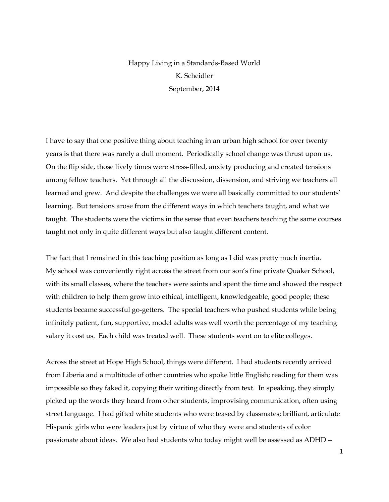## Happy Living in a Standards-Based World K. Scheidler September, 2014

I have to say that one positive thing about teaching in an urban high school for over twenty years is that there was rarely a dull moment. Periodically school change was thrust upon us. On the flip side, those lively times were stress-filled, anxiety producing and created tensions among fellow teachers. Yet through all the discussion, dissension, and striving we teachers all learned and grew. And despite the challenges we were all basically committed to our students' learning. But tensions arose from the different ways in which teachers taught, and what we taught. The students were the victims in the sense that even teachers teaching the same courses taught not only in quite different ways but also taught different content.

The fact that I remained in this teaching position as long as I did was pretty much inertia. My school was conveniently right across the street from our son's fine private Quaker School, with its small classes, where the teachers were saints and spent the time and showed the respect with children to help them grow into ethical, intelligent, knowledgeable, good people; these students became successful go-getters. The special teachers who pushed students while being infinitely patient, fun, supportive, model adults was well worth the percentage of my teaching salary it cost us. Each child was treated well. These students went on to elite colleges.

Across the street at Hope High School, things were different. I had students recently arrived from Liberia and a multitude of other countries who spoke little English; reading for them was impossible so they faked it, copying their writing directly from text. In speaking, they simply picked up the words they heard from other students, improvising communication, often using street language. I had gifted white students who were teased by classmates; brilliant, articulate Hispanic girls who were leaders just by virtue of who they were and students of color passionate about ideas. We also had students who today might well be assessed as ADHD --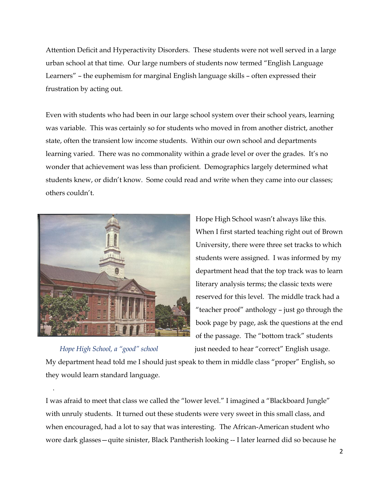Attention Deficit and Hyperactivity Disorders. These students were not well served in a large urban school at that time. Our large numbers of students now termed "English Language Learners" – the euphemism for marginal English language skills – often expressed their frustration by acting out.

Even with students who had been in our large school system over their school years, learning was variable. This was certainly so for students who moved in from another district, another state, often the transient low income students. Within our own school and departments learning varied. There was no commonality within a grade level or over the grades. It's no wonder that achievement was less than proficient. Demographics largely determined what students knew, or didn't know. Some could read and write when they came into our classes; others couldn't.



## *Hope High School, a "good" school* **just needed to hear "correct" English usage.**

.

Hope High School wasn't always like this. When I first started teaching right out of Brown University, there were three set tracks to which students were assigned. I was informed by my department head that the top track was to learn literary analysis terms; the classic texts were reserved for this level. The middle track had a "teacher proof" anthology – just go through the book page by page, ask the questions at the end of the passage. The "bottom track" students

My department head told me I should just speak to them in middle class "proper" English, so they would learn standard language.

I was afraid to meet that class we called the "lower level." I imagined a "Blackboard Jungle" with unruly students. It turned out these students were very sweet in this small class, and when encouraged, had a lot to say that was interesting. The African-American student who wore dark glasses—quite sinister, Black Pantherish looking -- I later learned did so because he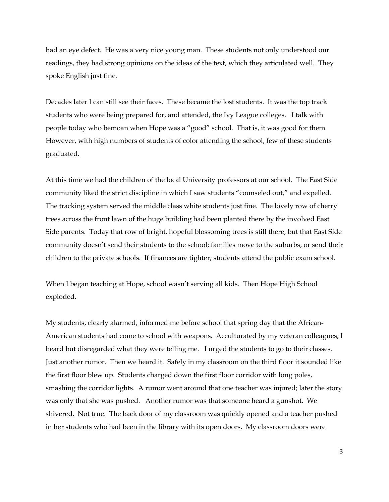had an eye defect. He was a very nice young man. These students not only understood our readings, they had strong opinions on the ideas of the text, which they articulated well. They spoke English just fine.

Decades later I can still see their faces. These became the lost students. It was the top track students who were being prepared for, and attended, the Ivy League colleges. I talk with people today who bemoan when Hope was a "good" school. That is, it was good for them. However, with high numbers of students of color attending the school, few of these students graduated.

At this time we had the children of the local University professors at our school. The East Side community liked the strict discipline in which I saw students "counseled out," and expelled. The tracking system served the middle class white students just fine. The lovely row of cherry trees across the front lawn of the huge building had been planted there by the involved East Side parents. Today that row of bright, hopeful blossoming trees is still there, but that East Side community doesn't send their students to the school; families move to the suburbs, or send their children to the private schools. If finances are tighter, students attend the public exam school.

When I began teaching at Hope, school wasn't serving all kids. Then Hope High School exploded.

My students, clearly alarmed, informed me before school that spring day that the African-American students had come to school with weapons. Acculturated by my veteran colleagues, I heard but disregarded what they were telling me. I urged the students to go to their classes. Just another rumor. Then we heard it. Safely in my classroom on the third floor it sounded like the first floor blew up. Students charged down the first floor corridor with long poles, smashing the corridor lights. A rumor went around that one teacher was injured; later the story was only that she was pushed. Another rumor was that someone heard a gunshot. We shivered. Not true. The back door of my classroom was quickly opened and a teacher pushed in her students who had been in the library with its open doors. My classroom doors were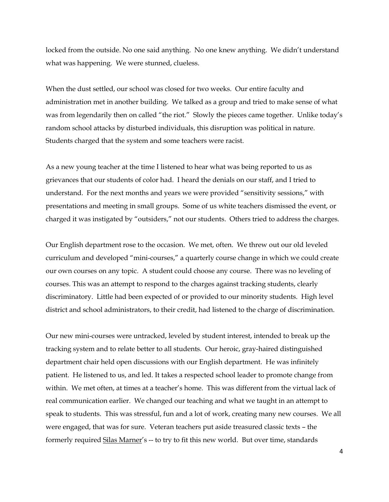locked from the outside. No one said anything. No one knew anything. We didn't understand what was happening. We were stunned, clueless.

When the dust settled, our school was closed for two weeks. Our entire faculty and administration met in another building. We talked as a group and tried to make sense of what was from legendarily then on called "the riot." Slowly the pieces came together. Unlike today's random school attacks by disturbed individuals, this disruption was political in nature. Students charged that the system and some teachers were racist.

As a new young teacher at the time I listened to hear what was being reported to us as grievances that our students of color had. I heard the denials on our staff, and I tried to understand. For the next months and years we were provided "sensitivity sessions," with presentations and meeting in small groups. Some of us white teachers dismissed the event, or charged it was instigated by "outsiders," not our students. Others tried to address the charges.

Our English department rose to the occasion. We met, often. We threw out our old leveled curriculum and developed "mini-courses," a quarterly course change in which we could create our own courses on any topic. A student could choose any course. There was no leveling of courses. This was an attempt to respond to the charges against tracking students, clearly discriminatory. Little had been expected of or provided to our minority students. High level district and school administrators, to their credit, had listened to the charge of discrimination.

Our new mini-courses were untracked, leveled by student interest, intended to break up the tracking system and to relate better to all students. Our heroic, gray-haired distinguished department chair held open discussions with our English department. He was infinitely patient. He listened to us, and led. It takes a respected school leader to promote change from within. We met often, at times at a teacher's home. This was different from the virtual lack of real communication earlier. We changed our teaching and what we taught in an attempt to speak to students. This was stressful, fun and a lot of work, creating many new courses. We all were engaged, that was for sure. Veteran teachers put aside treasured classic texts – the formerly required Silas Marner's -- to try to fit this new world. But over time, standards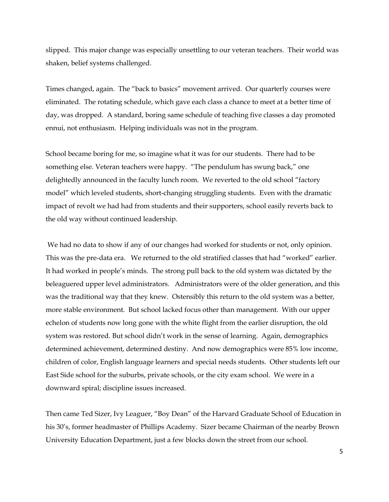slipped. This major change was especially unsettling to our veteran teachers. Their world was shaken, belief systems challenged.

Times changed, again. The "back to basics" movement arrived. Our quarterly courses were eliminated. The rotating schedule, which gave each class a chance to meet at a better time of day, was dropped. A standard, boring same schedule of teaching five classes a day promoted ennui, not enthusiasm. Helping individuals was not in the program.

School became boring for me, so imagine what it was for our students. There had to be something else. Veteran teachers were happy. "The pendulum has swung back," one delightedly announced in the faculty lunch room. We reverted to the old school "factory model" which leveled students, short-changing struggling students. Even with the dramatic impact of revolt we had had from students and their supporters, school easily reverts back to the old way without continued leadership.

We had no data to show if any of our changes had worked for students or not, only opinion. This was the pre-data era. We returned to the old stratified classes that had "worked" earlier. It had worked in people's minds. The strong pull back to the old system was dictated by the beleaguered upper level administrators. Administrators were of the older generation, and this was the traditional way that they knew. Ostensibly this return to the old system was a better, more stable environment. But school lacked focus other than management. With our upper echelon of students now long gone with the white flight from the earlier disruption, the old system was restored. But school didn't work in the sense of learning. Again, demographics determined achievement, determined destiny. And now demographics were 85% low income, children of color, English language learners and special needs students. Other students left our East Side school for the suburbs, private schools, or the city exam school. We were in a downward spiral; discipline issues increased.

Then came Ted Sizer, Ivy Leaguer, "Boy Dean" of the Harvard Graduate School of Education in his 30's, former headmaster of Phillips Academy. Sizer became Chairman of the nearby Brown University Education Department, just a few blocks down the street from our school.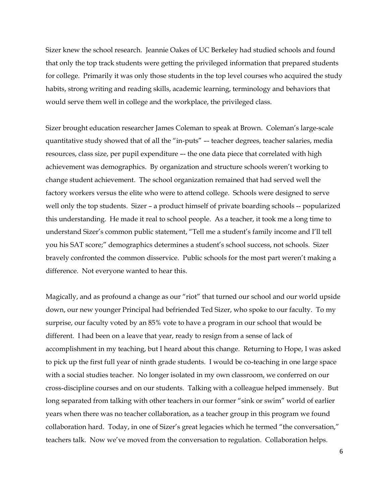Sizer knew the school research. Jeannie Oakes of UC Berkeley had studied schools and found that only the top track students were getting the privileged information that prepared students for college. Primarily it was only those students in the top level courses who acquired the study habits, strong writing and reading skills, academic learning, terminology and behaviors that would serve them well in college and the workplace, the privileged class.

Sizer brought education researcher James Coleman to speak at Brown. Coleman's large-scale quantitative study showed that of all the "in-puts" –- teacher degrees, teacher salaries, media resources, class size, per pupil expenditure –- the one data piece that correlated with high achievement was demographics. By organization and structure schools weren't working to change student achievement. The school organization remained that had served well the factory workers versus the elite who were to attend college. Schools were designed to serve well only the top students. Sizer – a product himself of private boarding schools -- popularized this understanding. He made it real to school people. As a teacher, it took me a long time to understand Sizer's common public statement, "Tell me a student's family income and I'll tell you his SAT score;" demographics determines a student's school success, not schools. Sizer bravely confronted the common disservice. Public schools for the most part weren't making a difference. Not everyone wanted to hear this.

Magically, and as profound a change as our "riot" that turned our school and our world upside down, our new younger Principal had befriended Ted Sizer, who spoke to our faculty. To my surprise, our faculty voted by an 85% vote to have a program in our school that would be different. I had been on a leave that year, ready to resign from a sense of lack of accomplishment in my teaching, but I heard about this change. Returning to Hope, I was asked to pick up the first full year of ninth grade students. I would be co-teaching in one large space with a social studies teacher. No longer isolated in my own classroom, we conferred on our cross-discipline courses and on our students. Talking with a colleague helped immensely. But long separated from talking with other teachers in our former "sink or swim" world of earlier years when there was no teacher collaboration, as a teacher group in this program we found collaboration hard. Today, in one of Sizer's great legacies which he termed "the conversation," teachers talk. Now we've moved from the conversation to regulation. Collaboration helps.

6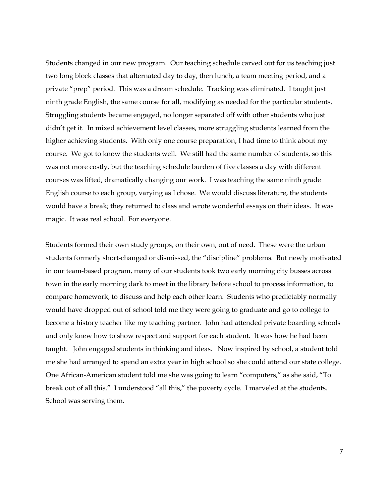Students changed in our new program. Our teaching schedule carved out for us teaching just two long block classes that alternated day to day, then lunch, a team meeting period, and a private "prep" period. This was a dream schedule. Tracking was eliminated. I taught just ninth grade English, the same course for all, modifying as needed for the particular students. Struggling students became engaged, no longer separated off with other students who just didn't get it. In mixed achievement level classes, more struggling students learned from the higher achieving students. With only one course preparation, I had time to think about my course. We got to know the students well. We still had the same number of students, so this was not more costly, but the teaching schedule burden of five classes a day with different courses was lifted, dramatically changing our work. I was teaching the same ninth grade English course to each group, varying as I chose. We would discuss literature, the students would have a break; they returned to class and wrote wonderful essays on their ideas. It was magic. It was real school. For everyone.

Students formed their own study groups, on their own, out of need. These were the urban students formerly short-changed or dismissed, the "discipline" problems. But newly motivated in our team-based program, many of our students took two early morning city busses across town in the early morning dark to meet in the library before school to process information, to compare homework, to discuss and help each other learn. Students who predictably normally would have dropped out of school told me they were going to graduate and go to college to become a history teacher like my teaching partner. John had attended private boarding schools and only knew how to show respect and support for each student. It was how he had been taught. John engaged students in thinking and ideas. Now inspired by school, a student told me she had arranged to spend an extra year in high school so she could attend our state college. One African-American student told me she was going to learn "computers," as she said, "To break out of all this." I understood "all this," the poverty cycle. I marveled at the students. School was serving them.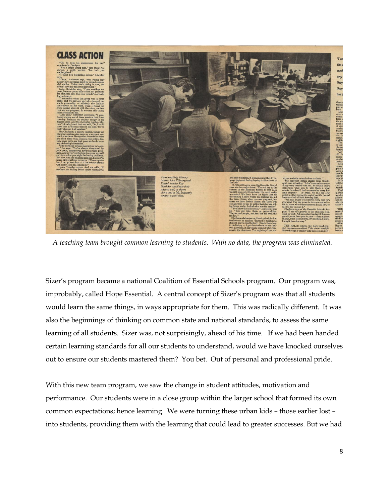

 *A teaching team brought common learning to students. With no data, the program was eliminated.*

Sizer's program became a national Coalition of Essential Schools program. Our program was, improbably, called Hope Essential. A central concept of Sizer's program was that all students would learn the same things, in ways appropriate for them. This was radically different. It was also the beginnings of thinking on common state and national standards, to assess the same learning of all students. Sizer was, not surprisingly, ahead of his time. If we had been handed certain learning standards for all our students to understand, would we have knocked ourselves out to ensure our students mastered them? You bet. Out of personal and professional pride.

With this new team program, we saw the change in student attitudes, motivation and performance. Our students were in a close group within the larger school that formed its own common expectations; hence learning. We were turning these urban kids – those earlier lost – into students, providing them with the learning that could lead to greater successes. But we had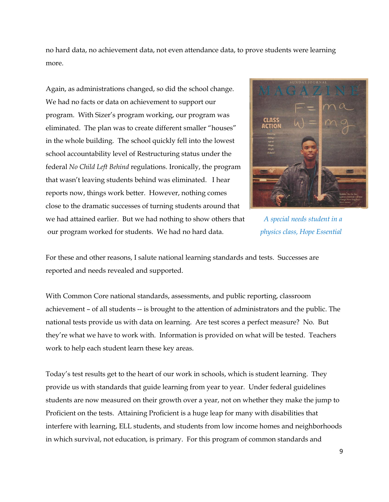no hard data, no achievement data, not even attendance data, to prove students were learning more.

Again, as administrations changed, so did the school change. We had no facts or data on achievement to support our program. With Sizer's program working, our program was eliminated. The plan was to create different smaller "houses" in the whole building. The school quickly fell into the lowest school accountability level of Restructuring status under the federal *No Child Left Behind* regulations. Ironically, the program that wasn't leaving students behind was eliminated. I hear reports now, things work better. However, nothing comes close to the dramatic successes of turning students around that we had attained earlier. But we had nothing to show others that *A special needs student in a* our program worked for students. We had no hard data. *physics class, Hope Essential*



For these and other reasons, I salute national learning standards and tests. Successes are reported and needs revealed and supported.

With Common Core national standards, assessments, and public reporting, classroom achievement – of all students -- is brought to the attention of administrators and the public. The national tests provide us with data on learning. Are test scores a perfect measure? No. But they're what we have to work with. Information is provided on what will be tested. Teachers work to help each student learn these key areas.

Today's test results get to the heart of our work in schools, which is student learning. They provide us with standards that guide learning from year to year. Under federal guidelines students are now measured on their growth over a year, not on whether they make the jump to Proficient on the tests. Attaining Proficient is a huge leap for many with disabilities that interfere with learning, ELL students, and students from low income homes and neighborhoods in which survival, not education, is primary. For this program of common standards and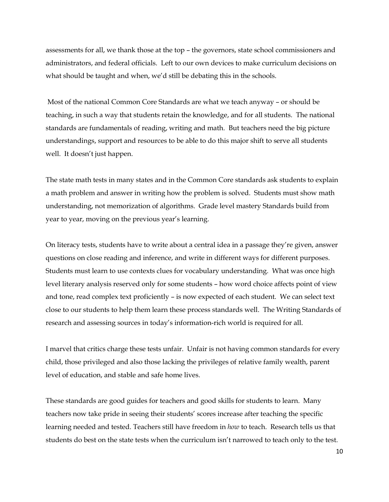assessments for all, we thank those at the top – the governors, state school commissioners and administrators, and federal officials. Left to our own devices to make curriculum decisions on what should be taught and when, we'd still be debating this in the schools.

Most of the national Common Core Standards are what we teach anyway – or should be teaching, in such a way that students retain the knowledge, and for all students. The national standards are fundamentals of reading, writing and math. But teachers need the big picture understandings, support and resources to be able to do this major shift to serve all students well. It doesn't just happen.

The state math tests in many states and in the Common Core standards ask students to explain a math problem and answer in writing how the problem is solved. Students must show math understanding, not memorization of algorithms. Grade level mastery Standards build from year to year, moving on the previous year's learning.

On literacy tests, students have to write about a central idea in a passage they're given, answer questions on close reading and inference, and write in different ways for different purposes. Students must learn to use contexts clues for vocabulary understanding. What was once high level literary analysis reserved only for some students – how word choice affects point of view and tone, read complex text proficiently – is now expected of each student. We can select text close to our students to help them learn these process standards well. The Writing Standards of research and assessing sources in today's information-rich world is required for all.

I marvel that critics charge these tests unfair. Unfair is not having common standards for every child, those privileged and also those lacking the privileges of relative family wealth, parent level of education, and stable and safe home lives.

These standards are good guides for teachers and good skills for students to learn. Many teachers now take pride in seeing their students' scores increase after teaching the specific learning needed and tested. Teachers still have freedom in *how* to teach. Research tells us that students do best on the state tests when the curriculum isn't narrowed to teach only to the test.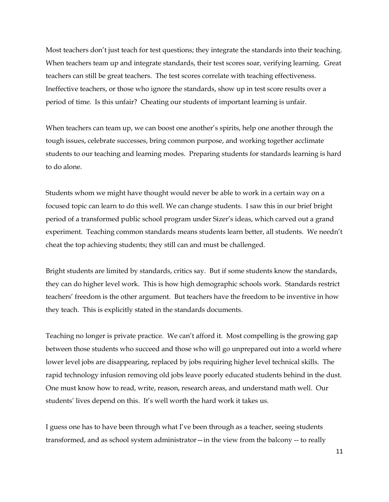Most teachers don't just teach for test questions; they integrate the standards into their teaching. When teachers team up and integrate standards, their test scores soar, verifying learning. Great teachers can still be great teachers. The test scores correlate with teaching effectiveness. Ineffective teachers, or those who ignore the standards, show up in test score results over a period of time. Is this unfair? Cheating our students of important learning is unfair.

When teachers can team up, we can boost one another's spirits, help one another through the tough issues, celebrate successes, bring common purpose, and working together acclimate students to our teaching and learning modes. Preparing students for standards learning is hard to do alone.

Students whom we might have thought would never be able to work in a certain way on a focused topic can learn to do this well. We can change students. I saw this in our brief bright period of a transformed public school program under Sizer's ideas, which carved out a grand experiment. Teaching common standards means students learn better, all students. We needn't cheat the top achieving students; they still can and must be challenged.

Bright students are limited by standards, critics say. But if some students know the standards, they can do higher level work. This is how high demographic schools work. Standards restrict teachers' freedom is the other argument. But teachers have the freedom to be inventive in how they teach. This is explicitly stated in the standards documents.

Teaching no longer is private practice. We can't afford it. Most compelling is the growing gap between those students who succeed and those who will go unprepared out into a world where lower level jobs are disappearing, replaced by jobs requiring higher level technical skills. The rapid technology infusion removing old jobs leave poorly educated students behind in the dust. One must know how to read, write, reason, research areas, and understand math well. Our students' lives depend on this. It's well worth the hard work it takes us.

I guess one has to have been through what I've been through as a teacher, seeing students transformed, and as school system administrator—in the view from the balcony -- to really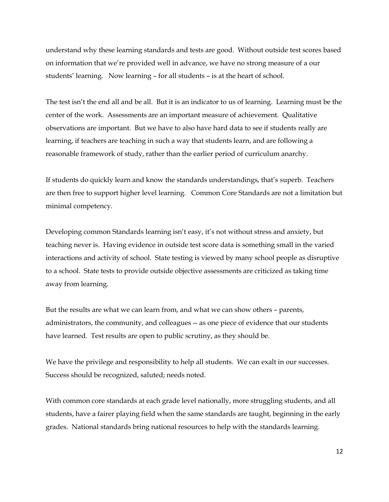understand why these learning standards and tests are good. Without outside test scores based on information that we're provided well in advance, we have no strong measure of a our students' learning. Now learning – for all students – is at the heart of school.

The test isn't the end all and be all. But it is an indicator to us of learning. Learning must be the center of the work. Assessments are an important measure of achievement. Qualitative observations are important. But we have to also have hard data to see if students really are learning, if teachers are teaching in such a way that students learn, and are following a reasonable framework of study, rather than the earlier period of curriculum anarchy.

If students do quickly learn and know the standards understandings, that's superb. Teachers are then free to support higher level learning. Common Core Standards are not a limitation but minimal competency.

Developing common Standards learning isn't easy, it's not without stress and anxiety, but teaching never is. Having evidence in outside test score data is something small in the varied interactions and activity of school. State testing is viewed by many school people as disruptive to a school. State tests to provide outside objective assessments are criticized as taking time away from learning.

But the results are what we can learn from, and what we can show others – parents, administrators, the community, and colleagues -- as one piece of evidence that our students have learned. Test results are open to public scrutiny, as they should be.

We have the privilege and responsibility to help all students. We can exalt in our successes. Success should be recognized, saluted; needs noted.

With common core standards at each grade level nationally, more struggling students, and all students, have a fairer playing field when the same standards are taught, beginning in the early grades. National standards bring national resources to help with the standards learning.